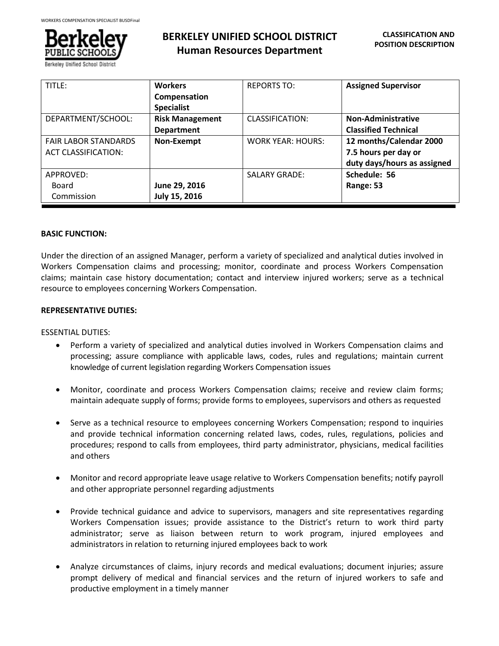

| TITLE:                      | <b>Workers</b>         | <b>REPORTS TO:</b>       | <b>Assigned Supervisor</b>  |
|-----------------------------|------------------------|--------------------------|-----------------------------|
|                             | Compensation           |                          |                             |
|                             | <b>Specialist</b>      |                          |                             |
| DEPARTMENT/SCHOOL:          | <b>Risk Management</b> | CLASSIFICATION:          | <b>Non-Administrative</b>   |
|                             | <b>Department</b>      |                          | <b>Classified Technical</b> |
| <b>FAIR LABOR STANDARDS</b> | Non-Exempt             | <b>WORK YEAR: HOURS:</b> | 12 months/Calendar 2000     |
| <b>ACT CLASSIFICATION:</b>  |                        |                          | 7.5 hours per day or        |
|                             |                        |                          | duty days/hours as assigned |
| APPROVED:                   |                        | <b>SALARY GRADE:</b>     | Schedule: 56                |
| Board                       | June 29, 2016          |                          | Range: 53                   |
| Commission                  | July 15, 2016          |                          |                             |

### **BASIC FUNCTION:**

Under the direction of an assigned Manager, perform a variety of specialized and analytical duties involved in Workers Compensation claims and processing; monitor, coordinate and process Workers Compensation claims; maintain case history documentation; contact and interview injured workers; serve as a technical resource to employees concerning Workers Compensation.

# **REPRESENTATIVE DUTIES:**

### ESSENTIAL DUTIES:

- Perform a variety of specialized and analytical duties involved in Workers Compensation claims and processing; assure compliance with applicable laws, codes, rules and regulations; maintain current knowledge of current legislation regarding Workers Compensation issues
- Monitor, coordinate and process Workers Compensation claims; receive and review claim forms; maintain adequate supply of forms; provide forms to employees, supervisors and others as requested
- Serve as a technical resource to employees concerning Workers Compensation; respond to inquiries and provide technical information concerning related laws, codes, rules, regulations, policies and procedures; respond to calls from employees, third party administrator, physicians, medical facilities and others
- Monitor and record appropriate leave usage relative to Workers Compensation benefits; notify payroll and other appropriate personnel regarding adjustments
- Provide technical guidance and advice to supervisors, managers and site representatives regarding Workers Compensation issues; provide assistance to the District's return to work third party administrator; serve as liaison between return to work program, injured employees and administrators in relation to returning injured employees back to work
- Analyze circumstances of claims, injury records and medical evaluations; document injuries; assure prompt delivery of medical and financial services and the return of injured workers to safe and productive employment in a timely manner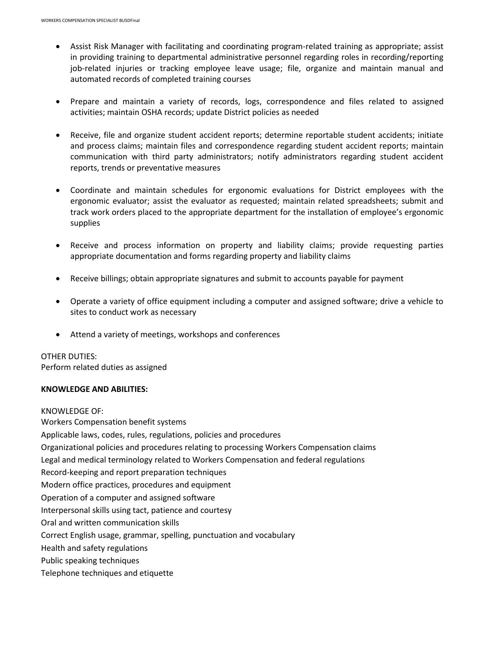- Assist Risk Manager with facilitating and coordinating program-related training as appropriate; assist in providing training to departmental administrative personnel regarding roles in recording/reporting job-related injuries or tracking employee leave usage; file, organize and maintain manual and automated records of completed training courses
- Prepare and maintain a variety of records, logs, correspondence and files related to assigned activities; maintain OSHA records; update District policies as needed
- Receive, file and organize student accident reports; determine reportable student accidents; initiate and process claims; maintain files and correspondence regarding student accident reports; maintain communication with third party administrators; notify administrators regarding student accident reports, trends or preventative measures
- Coordinate and maintain schedules for ergonomic evaluations for District employees with the ergonomic evaluator; assist the evaluator as requested; maintain related spreadsheets; submit and track work orders placed to the appropriate department for the installation of employee's ergonomic supplies
- Receive and process information on property and liability claims; provide requesting parties appropriate documentation and forms regarding property and liability claims
- Receive billings; obtain appropriate signatures and submit to accounts payable for payment
- Operate a variety of office equipment including a computer and assigned software; drive a vehicle to sites to conduct work as necessary
- Attend a variety of meetings, workshops and conferences

### OTHER DUTIES:

Perform related duties as assigned

### **KNOWLEDGE AND ABILITIES:**

KNOWLEDGE OF: Workers Compensation benefit systems Applicable laws, codes, rules, regulations, policies and procedures Organizational policies and procedures relating to processing Workers Compensation claims Legal and medical terminology related to Workers Compensation and federal regulations Record-keeping and report preparation techniques Modern office practices, procedures and equipment Operation of a computer and assigned software Interpersonal skills using tact, patience and courtesy Oral and written communication skills Correct English usage, grammar, spelling, punctuation and vocabulary Health and safety regulations Public speaking techniques Telephone techniques and etiquette